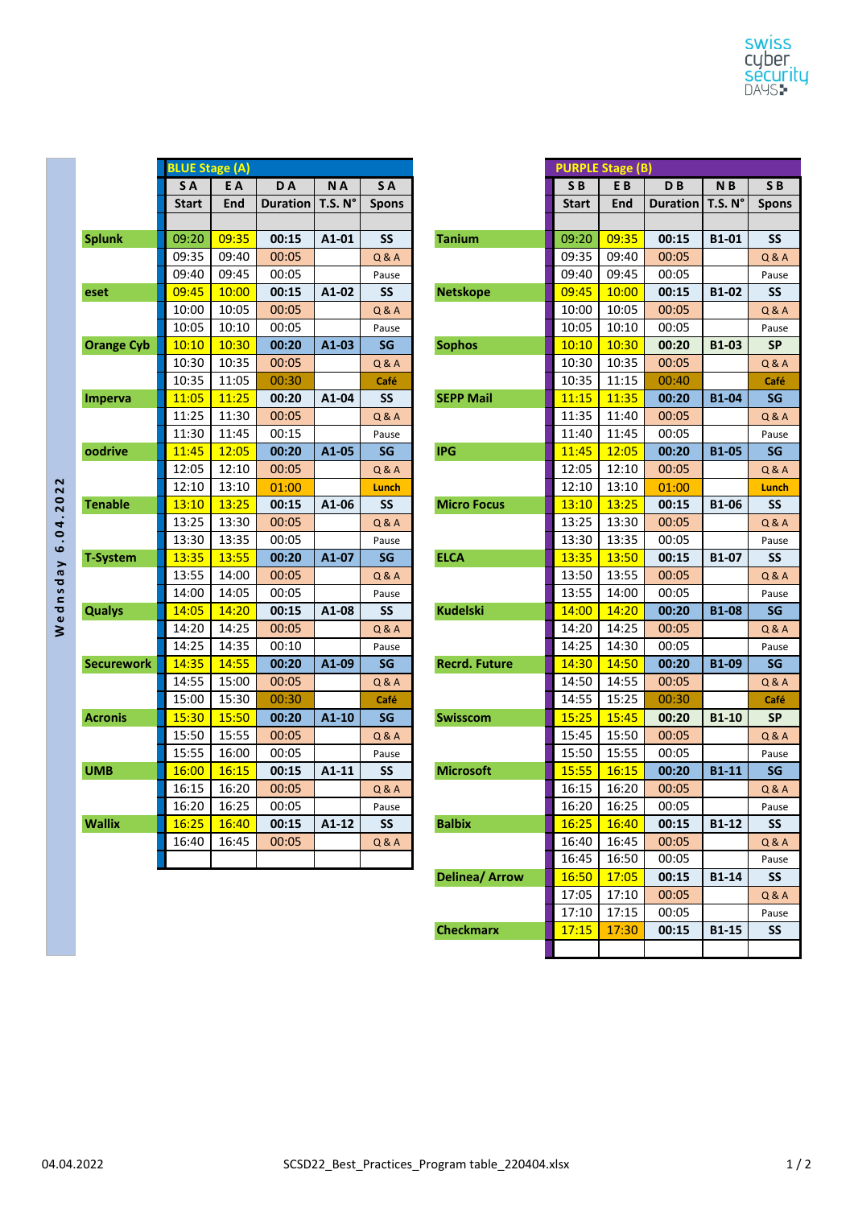|                   | <b>BLUE Stage (A)</b> |       |                 |                     |                |                      |                | <b>PURPLE Stage (B)</b> |  |
|-------------------|-----------------------|-------|-----------------|---------------------|----------------|----------------------|----------------|-------------------------|--|
|                   | SA.                   | E A   | DA              | NA                  | SA             |                      | S <sub>B</sub> | EB                      |  |
|                   | <b>Start</b>          | End   | <b>Duration</b> | T.S. N <sup>o</sup> | <b>Spons</b>   |                      | <b>Start</b>   | End                     |  |
|                   |                       |       |                 |                     |                |                      |                |                         |  |
| <b>Splunk</b>     | 09:20                 | 09:35 | 00:15           | A1-01               | SS             | <b>Tanium</b>        | 09:20          | 09:35                   |  |
|                   | 09:35                 | 09:40 | 00:05           |                     | Q & A          |                      | 09:35          | 09:40                   |  |
|                   | 09:40                 | 09:45 | 00:05           |                     | Pause          |                      | 09:40          | 09:45                   |  |
| eset              | 09:45                 | 10:00 | 00:15           | A1-02               | <b>SS</b>      | <b>Netskope</b>      | 09:45          | 10:00                   |  |
|                   | 10:00                 | 10:05 | 00:05           |                     | Q & A          |                      | 10:00          | 10:05                   |  |
|                   | 10:05                 | 10:10 | 00:05           |                     | Pause          |                      | 10:05          | 10:10                   |  |
| <b>Orange Cyb</b> | 10:10                 | 10:30 | 00:20           | $A1-03$             | SG             | <b>Sophos</b>        | 10:10          | 10:30                   |  |
|                   | 10:30                 | 10:35 | 00:05           |                     | <b>Q&amp;A</b> |                      | 10:30          | 10:35                   |  |
|                   | 10:35                 | 11:05 | 00:30           |                     | Café           |                      | 10:35          | 11:15                   |  |
| Imperva           | 11:05                 | 11:25 | 00:20           | A1-04               | SS             | <b>SEPP Mail</b>     | 11:15          | 11:35                   |  |
|                   | 11:25                 | 11:30 | 00:05           |                     | <b>Q&amp;A</b> |                      | 11:35          | 11:40                   |  |
|                   | 11:30                 | 11:45 | 00:15           |                     | Pause          |                      | 11:40          | 11:45                   |  |
| oodrive           | 11:45                 | 12:05 | 00:20           | A1-05               | SG             | <b>IPG</b>           | 11:45          | 12:05                   |  |
|                   | 12:05                 | 12:10 | 00:05           |                     | Q & A          |                      | 12:05          | 12:10                   |  |
|                   | 12:10                 | 13:10 | 01:00           |                     | Lunch          |                      | 12:10          | 13:10                   |  |
| <b>Tenable</b>    | 13:10                 | 13:25 | 00:15           | A1-06               | <b>SS</b>      | <b>Micro Focus</b>   | 13:10          | 13:25                   |  |
|                   | 13:25                 | 13:30 | 00:05           |                     | Q & A          |                      | 13:25          | 13:30                   |  |
|                   | 13:30                 | 13:35 | 00:05           |                     | Pause          |                      | 13:30          | 13:35                   |  |
| <b>T-System</b>   | 13:35                 | 13:55 | 00:20           | A1-07               | SG             | <b>ELCA</b>          | 13:35          | 13:50                   |  |
|                   | 13:55                 | 14:00 | 00:05           |                     | <b>Q&amp;A</b> |                      | 13:50          | 13:55                   |  |
|                   | 14:00                 | 14:05 | 00:05           |                     | Pause          |                      | 13:55          | 14:00                   |  |
| <b>Qualys</b>     | 14:05                 | 14:20 | 00:15           | A1-08               | SS             | <b>Kudelski</b>      | 14:00          | 14:20                   |  |
|                   | 14:20                 | 14:25 | 00:05           |                     | Q & A          |                      | 14:20          | 14:25                   |  |
|                   | 14:25                 | 14:35 | 00:10           |                     | Pause          |                      | 14:25          | 14:30                   |  |
| <b>Securework</b> | 14:35                 | 14:55 | 00:20           | A1-09               | SG             | <b>Recrd. Future</b> | 14:30          | 14:50                   |  |
|                   | 14:55                 | 15:00 | 00:05           |                     | Q & A          |                      | 14:50          | 14:55                   |  |
|                   | 15:00                 | 15:30 | 00:30           |                     | Café           |                      | 14:55          | 15:25                   |  |
| <b>Acronis</b>    | 15:30                 | 15:50 | 00:20           | A1-10               | SG             | Swisscom             | 15:25          | 15:45                   |  |
|                   | 15:50                 | 15:55 | 00:05           |                     | Q & A          |                      | 15:45          | 15:50                   |  |
|                   | 15:55                 | 16:00 | 00:05           |                     | Pause          |                      | 15:50          | 15:55                   |  |
| <b>UMB</b>        | <b>16:00</b>          | 16:15 | 00:15           | A1-11               | SS             | <b>Microsoft</b>     | 15:55          | 16:15                   |  |
|                   | 16:15                 | 16:20 | 00:05           |                     | <b>Q&amp;A</b> |                      | 16:15          | 16:20                   |  |
|                   | 16:20                 | 16:25 | 00:05           |                     | Pause          |                      | 16:20          | 16:25                   |  |
| <b>Wallix</b>     | 16:25                 | 16:40 | 00:15           | A1-12               | SS             | <b>Balbix</b>        | 16:25          | 16:40                   |  |
|                   | 16:40                 | 16:45 | 00:05           |                     | Q & A          |                      | 16:40          | 16:45                   |  |
|                   |                       |       |                 |                     |                |                      | 16:45          | 16:50                   |  |
|                   |                       |       |                 |                     |                |                      |                |                         |  |

|                   | <b>BLUE Stage (A)</b> |       |                 |                     |                |                       | <b>PURPLE Stage (B)</b> |       |                 |                     |                  |
|-------------------|-----------------------|-------|-----------------|---------------------|----------------|-----------------------|-------------------------|-------|-----------------|---------------------|------------------|
|                   | SA                    | E A   | <b>DA</b>       | NA                  | SA             |                       | SB                      | EB    | D <sub>B</sub>  | N <sub>B</sub>      | SB               |
|                   | <b>Start</b>          | End   | <b>Duration</b> | T.S. N <sup>o</sup> | <b>Spons</b>   |                       | <b>Start</b>            | End   | <b>Duration</b> | T.S. N <sup>o</sup> | <b>Spons</b>     |
|                   |                       |       |                 |                     |                |                       |                         |       |                 |                     |                  |
| <b>Splunk</b>     | 09:20                 | 09:35 | 00:15           | A1-01               | <b>SS</b>      | <b>Tanium</b>         | 09:20                   | 09:35 | 00:15           | B1-01               | <b>SS</b>        |
|                   | 09:35                 | 09:40 | 00:05           |                     | Q & A          |                       | 09:35                   | 09:40 | 00:05           |                     | Q & A            |
|                   | 09:40                 | 09:45 | 00:05           |                     | Pause          |                       | 09:40                   | 09:45 | 00:05           |                     | Pause            |
| eset              | 09:45                 | 10:00 | 00:15           | A1-02               | <b>SS</b>      | <b>Netskope</b>       | 09:45                   | 10:00 | 00:15           | <b>B1-02</b>        | <b>SS</b>        |
|                   | 10:00                 | 10:05 | 00:05           |                     | <b>Q&amp;A</b> |                       | 10:00                   | 10:05 | 00:05           |                     | Q & A            |
|                   | 10:05                 | 10:10 | 00:05           |                     | Pause          |                       | 10:05                   | 10:10 | 00:05           |                     | Pause            |
| <b>Orange Cyb</b> | 10:10                 | 10:30 | 00:20           | A1-03               | SG             | <b>Sophos</b>         | 10:10                   | 10:30 | 00:20           | <b>B1-03</b>        | <b>SP</b>        |
|                   | 10:30                 | 10:35 | 00:05           |                     | <b>Q&amp;A</b> |                       | 10:30                   | 10:35 | 00:05           |                     | Q & A            |
|                   | 10:35                 | 11:05 | 00:30           |                     | Café           |                       | 10:35                   | 11:15 | 00:40           |                     | Café             |
| <b>Imperva</b>    | 11:05                 | 11:25 | 00:20           | A1-04               | <b>SS</b>      | <b>SEPP Mail</b>      | 11:15                   | 11:35 | 00:20           | <b>B1-04</b>        | <b>SG</b>        |
|                   | 11:25                 | 11:30 | 00:05           |                     | <b>Q&amp;A</b> |                       | 11:35                   | 11:40 | 00:05           |                     | <b>Q&amp;A</b>   |
|                   | 11:30                 | 11:45 | 00:15           |                     | Pause          |                       | 11:40                   | 11:45 | 00:05           |                     | Pause            |
| oodrive           | 11:45                 | 12:05 | 00:20           | A1-05               | SG             | <b>IPG</b>            | 11:45                   | 12:05 | 00:20           | <b>B1-05</b>        | SG               |
|                   | 12:05                 | 12:10 | 00:05           |                     | Q & A          |                       | 12:05                   | 12:10 | 00:05           |                     | <b>Q &amp; A</b> |
|                   | 12:10                 | 13:10 | 01:00           |                     | <b>Lunch</b>   |                       | 12:10                   | 13:10 | 01:00           |                     | Lunch            |
| <b>Tenable</b>    | 13:10                 | 13:25 | 00:15           | A1-06               | <b>SS</b>      | <b>Micro Focus</b>    | 13:10                   | 13:25 | 00:15           | <b>B1-06</b>        | <b>SS</b>        |
|                   | 13:25                 | 13:30 | 00:05           |                     | Q & A          |                       | 13:25                   | 13:30 | 00:05           |                     | Q & A            |
|                   | 13:30                 | 13:35 | 00:05           |                     | Pause          |                       | 13:30                   | 13:35 | 00:05           |                     | Pause            |
| T-System          | 13:35                 | 13:55 | 00:20           | A1-07               | SG             | <b>ELCA</b>           | 13:35                   | 13:50 | 00:15           | B1-07               | <b>SS</b>        |
|                   | 13:55                 | 14:00 | 00:05           |                     | <b>Q&amp;A</b> |                       | 13:50                   | 13:55 | 00:05           |                     | Q & A            |
|                   | 14:00                 | 14:05 | 00:05           |                     | Pause          |                       | 13:55                   | 14:00 | 00:05           |                     | Pause            |
| <b>Qualys</b>     | 14:05                 | 14:20 | 00:15           | A1-08               | SS             | <b>Kudelski</b>       | 14:00                   | 14:20 | 00:20           | <b>B1-08</b>        | SG               |
|                   | 14:20                 | 14:25 | 00:05           |                     | <b>Q&amp;A</b> |                       | 14:20                   | 14:25 | 00:05           |                     | <b>Q&amp;A</b>   |
|                   | 14:25                 | 14:35 | 00:10           |                     | Pause          |                       | 14:25                   | 14:30 | 00:05           |                     | Pause            |
| <b>Securework</b> | 14:35                 | 14:55 | 00:20           | A1-09               | SG             | <b>Recrd. Future</b>  | 14:30                   | 14:50 | 00:20           | <b>B1-09</b>        | SG               |
|                   | 14:55                 | 15:00 | 00:05           |                     | <b>Q&amp;A</b> |                       | 14:50                   | 14:55 | 00:05           |                     | Q & A            |
|                   | 15:00                 | 15:30 | 00:30           |                     | Café           |                       | 14:55                   | 15:25 | 00:30           |                     | Café             |
| <b>Acronis</b>    | 15:30                 | 15:50 | 00:20           | A1-10               | SG             | Swisscom              | 15:25                   | 15:45 | 00:20           | <b>B1-10</b>        | <b>SP</b>        |
|                   | 15:50                 | 15:55 | 00:05           |                     | Q & A          |                       | 15:45                   | 15:50 | 00:05           |                     | Q & A            |
|                   | 15:55                 | 16:00 | 00:05           |                     | Pause          |                       | 15:50                   | 15:55 | 00:05           |                     | Pause            |
| <b>UMB</b>        | 16:00                 | 16:15 | 00:15           | A1-11               | SS             | <b>Microsoft</b>      | 15:55                   | 16:15 | 00:20           | <b>B1-11</b>        | SG               |
|                   | 16:15                 | 16:20 | 00:05           |                     | Q & A          |                       | 16:15                   | 16:20 | 00:05           |                     | Q & A            |
|                   | 16:20                 | 16:25 | 00:05           |                     | Pause          |                       | 16:20                   | 16:25 | 00:05           |                     | Pause            |
| Wallix            | 16:25                 | 16:40 | 00:15           | A1-12               | <b>SS</b>      | <b>Balbix</b>         | 16:25                   | 16:40 | 00:15           | B1-12               | SS               |
|                   | 16:40                 | 16:45 | 00:05           |                     | Q & A          |                       | 16:40                   | 16:45 | 00:05           |                     | Q & A            |
|                   |                       |       |                 |                     |                |                       | 16:45                   | 16:50 | 00:05           |                     | Pause            |
|                   |                       |       |                 |                     |                | <b>Delinea/ Arrow</b> | 16:50                   | 17:05 | 00:15           | <b>B1-14</b>        | SS               |
|                   |                       |       |                 |                     |                |                       | 17:05                   | 17:10 | 00:05           |                     | <b>Q&amp;A</b>   |
|                   |                       |       |                 |                     |                |                       | 17:10                   | 17:15 | 00:05           |                     | Pause            |
|                   |                       |       |                 |                     |                | <b>Checkmarx</b>      | 17:15                   | 17:30 | 00:15           | <b>B1-15</b>        | <b>SS</b>        |
|                   |                       |       |                 |                     |                |                       |                         |       |                 |                     |                  |

Wednsday 6.04.2022 **Wednsday 6.04.2022**